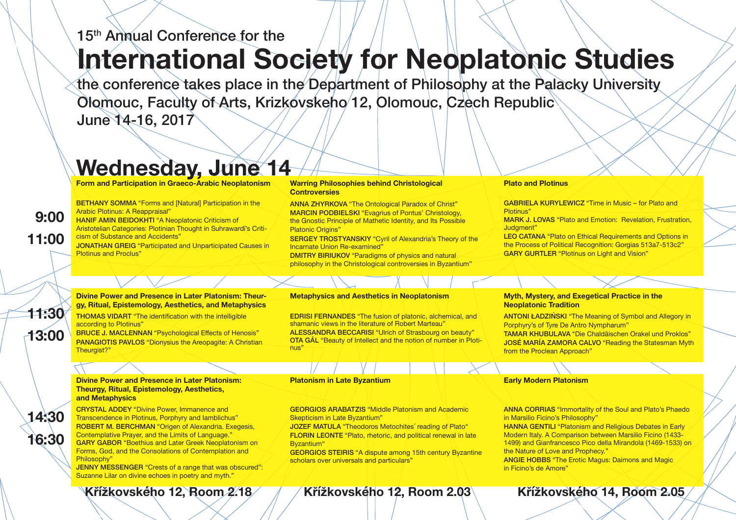**Form and Participation in Graeco-Arabic Neoplatonism**

BETHANY SOMMA "Forms and [Natural] Participation in the Arabic Plotinus: A Reappraisal" HANIF AMIN BEIDOKHTI "A Neoplatonic Criticism of

Aristotelian Categories: Plotinian Thought in Suhrawardī's Criticism of Substance and Accidents"

BRUCE J. MACLENNAN "Psychological Effects of Henosis" PANAGIOTIS PAVLOS "Dionysius the Areopagite: A Christian Theuraist?"

JONATHAN GREIG "Participated and Unparticipated Causes in Plotinus and Proclus"

#### **Divine Power and Presence in Later Platonism: Theurgy, Ritual, Epistemology, Aesthetics, and Metaphysics**

THOMAS VIDART "The identification with the intelligible according to Plotinus"

#### **Divine Power and Presence in Later Platonism: Theurgy, Ritual, Epistemology, Aesthetics, and Metaphysics**

CRYSTAL ADDEY "Divine Power, Immanence and Transcendence in Plotinus, Porphyry and Iamblichus" ROBERT M. BERCHMAN "Origen of Alexandria. Exegesis, Contemplative Prayer, and the Limits of Language." GARY GABOR "Boethius and Later Greek Neoplatonism on Forms, God, and the Consolations of Contemplation and Philosophy"

ANNA ZHYRKOVA "The Ontological Paradox of Christ" MARCIN PODBIELSKI "Evagrius of Pontus' Christology, the Gnostic Principle of Mathetic Identity, and Its Possible **Platonic Origins"** 

JENNY MESSENGER "Crests of a range that was obscured": Suzanne Lilar on divine echoes in poetry and myth."

#### **Plato and Plotinus**

GABRIELA KURYLEWICZ "Time in Music – for Plato and

Plotinus" Judgment"

MARK J. LOVAS "Plato and Emotion: Revelation, Frustration,

LEO CATANA "Plato on Ethical Requirements and Options in the Process of Political Recognition: Gorgias 513a7-513c2" **GARY GURTLER "Plotinus on Light and Vision"** 

# **Myth, Mystery, and Exegetical Practice in the**

# **Neoplatonic Tradition**

ANTONI ŁADZIŃSKI "The Meaning of Symbol and Allegory in Porphyry's of Tyre De Antro Nympharum"

TAMAR KHUBULAVA "Die Chaldäischen Orakel und Proklos" JOSÉ MARÍA ZAMORA CALVO "Reading the Statesman Myth from the Proclean Approach"

the conference takes place in the Department of Philosophy at the Palacky University Olomouc, Faculty of Arts, Krizkovskeho 12, Olomouc, Czech Republic June 14-16, 2017

**Early Modern Platonism**

ANNA CORRIAS "Immortality of the Soul and Plato's Phaedo in Marsilio Ficino's Philosophy" HANNA GENTILI "Platonism and Religious Debates in Early Modern Italy. A Comparison between Marsilio Ficino (1433- 1499) and Gianfrancesco Pico della Mirandola (1469-1533) on the Nature of Love and Prophecy." ANGIE HOBBS "The Erotic Magus: Daimons and Magic in Ficino's de Amore"

#### **Warring Philosophies behind Christological Controversies**

SERGEY TROSTYANSKIY "Cyril of Alexandria's Theory of the Incarnate Union Re-examined"

DMITRY BIRIUKOV "Paradigms of physics and natural philosophy in the Christological controversies in Byzantium"

#### **Metaphysics and Aesthetics in Neoplatonism**

EDRISI FERNANDES "The fusion of platonic, alchemical, and shamanic views in the literature of Robert Marteau" ALESSANDRA BECCARISI "Ulrich of Strasbourg on beauty" OTA GÁL "Beauty of Intellect and the notion of number in Plotinus"

#### **Platonism in Late Byzantium**

GEORGIOS ARABATZIS "Middle Platonism and Academic Skepticism in Late Byzantium"

JOZEF MATULA "Theodoros Metochites´ reading of Plato" FLORIN LEONTE "Plato, rhetoric, and political renewal in late Byzantium"

GEORGIOS STEIRIS "A dispute among 15th century Byzantine scholars over universals and particulars"

**14:30**

**16:30**

**9:00**

**11:00**

**11:30**

**13:00**

# **Wednesday, June 14**

# 15<sup>th</sup> Annual Conference for the

# **International Society for Neoplatonic Studies**

## **Křížkovského 12, Room 2.18 Křížkovského 12, Room 2.03 Křížkovského 14, Room 2.05**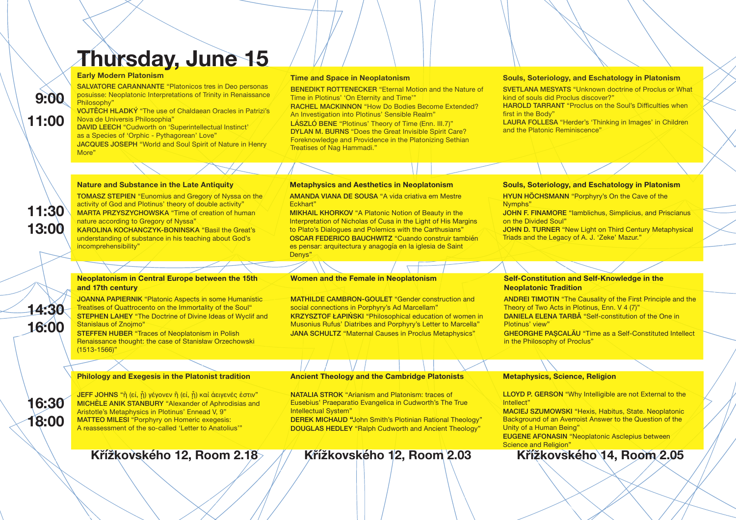#### **Time and Space in Neoplatonism**

BENEDIKT ROTTENECKER "Eternal Motion and the Nature of Time in Plotinus' 'On Eternity and Time'" RACHEL MACKINNON "How Do Bodies Become Extended? An Investigation into Plotinus' Sensible Realm"

LÁSZLÓ BENE "Plotinus' Theory of Time (Enn. III.7)" DYLAN M. BURNS "Does the Great Invisible Spirit Care? Foreknowledge and Providence in the Platonizing Sethian Treatises of Nag Hammadi."

#### **Metaphysics and Aesthetics in Neoplatonism**

AMANDA VIANA DE SOUSA "A vida criativa em Mestre Eckhart"

> LLOYD P. GERSON "Why Intelligible are not External to the Intellect" MACIEJ SZUMOWSKI "Hexis, Habitus, State. Neoplatonic Background of an Averroist Answer to the Question of the Unity of a Human Being" EUGENE AFONASIN "Neoplatonic Asclepius between Science and Religion"<br>
> Křížkovského 14, Room 2.05

MIKHAIL KHORKOV "A Platonic Notion of Beauty in the Interpretation of Nicholas of Cusa in the Light of His Margins to Plato's Dialogues and Polemics with the Carthusians" OSCAR FEDERICO BAUCHWITZ "Cuando construir también es pensar: arquitectura y anagogía en la iglesia de Saint Denys"

## **Neoplatonism in Central Europe between the 15th and 17th century**

JOANNA PAPIERNIK "Platonic Aspects in some Humanistic Treatises of Quattrocento on the Immortality of the Soul" STEPHEN LAHEY "The Doctrine of Divine Ideas of Wyclif and Stanislaus of Znojmo"

STEFFEN HUBER "Traces of Neoplatonism in Polish Renaissance thought: the case of Stanisław Orzechowski (1513-1566)"

ANDREI TIMOTIN "The Causality of the First Principle and the Theory of Two Acts in Plotinus, Enn. V 4 (7)" DANIELA ELENA TARBĂ "Self-constitution of the One in

## **Metaphysics, Science, Religion**

JEFF JOHNS "ἢ (εἰ, ἧ) γέγονεν ἢ (εἰ, ἧ) καὶ ἀειγενές ἐστιν" MICHÈLE ANIK STANBURY "Alexander of Aphrodisias and Aristotle's Metaphysics in Plotinus' Ennead V, 9" MATTEO MILESI "Porphyry on Homeric exegesis: A reassessment of the so-called 'Letter to Anatolius'"

#### **Early Modern Platonism**

SALVATORE CARANNANTE "Platonicos tres in Deo personas posuisse: Neoplatonic Interpretations of Trinity in Renaissance Philosophy"

VOJTĚCH HLADKÝ "The use of Chaldaean Oracles in Patrizi's Nova de Universis Philosophia"

> JOHN D. TURNER "New Light on Third Century Metaphysical Triads and the Legacy of A. J. 'Zeke' Mazur."

MATHILDE CAMBRON-GOULET "Gender construction and social connections in Porphyry's Ad Marcellam" KRZYSZTOF ŁAPIŃSKI "Philosophical education of women in Musonius Rufus' Diatribes and Porphyry's Letter to Marcella" **JANA SCHULTZ** "Maternal Causes in Proclus Metaphysics"

DAVID LEECH "Cudworth on 'Superintellectual Instinct' as a Species of 'Orphic - Pythagorean' Love" JACQUES JOSEPH "World and Soul Spirit of Nature in Henry More"

#### **Nature and Substance in the Late Antiquity**

TOMASZ STEPIEN "Eunomius and Gregory of Nyssa on the activity of God and Plotinus' theory of double activity" MARTA PRZYSZYCHOWSKA "Time of creation of human nature according to Gregory of Nyssa"

KAROLINA KOCHANCZYK-BONINSKA "Basil the Great's understanding of substance in his teaching about God's incomprehensibility"

#### **Self-Constitution and Self-Knowledge in the Neoplatonic Tradition**

GHEORGHE PAȘCALĂU "Time as a Self-Constituted Intellect

Plotinus' view" in the Philosophy of Proclus"

#### **Philology and Exegesis in the Platonist tradition**

#### **Souls, Soteriology, and Eschatology in Platonism**

SVETLANA MESYATS "Unknown doctrine of Proclus or What kind of souls did Proclus discover?" HAROLD TARRANT "Proclus on the Soul's Difficulties when

LAURA FOLLESA "Herder's 'Thinking in Images' in Children

JOHN F. FINAMORE "lamblichus, Simplicius, and Priscianus

first in the Body" and the Platonic Reminiscence"

## **Souls, Soteriology, and Eschatology in Platonism** HYUN HÖCHSMANN "Porphyry's On the Cave of the

Nymphs" on the Divided Soul"

#### **Women and the Female in Neoplatonism**

## **Ancient Theology and the Cambridge Platonists**

NATALIA STROK "Arianism and Platonism: traces of Eusebius' Praeparatio Evangelica in Cudworth's The True Intellectual System"

DEREK MICHAUD **"**John Smith's Plotinian Rational Theology" DOUGLAS HEDLEY "Ralph Cudworth and Ancient Theology"

# **Thursday, June 15**

**9:00**

**11:00**

**11:30**

**13:00**

**14:30**

**16:00**

**16:30**

**18:00**

## **Křížkovského 12, Room 2.18 Křížkovského 12, Room 2.03 Křížkovského 14, Room 2.05**